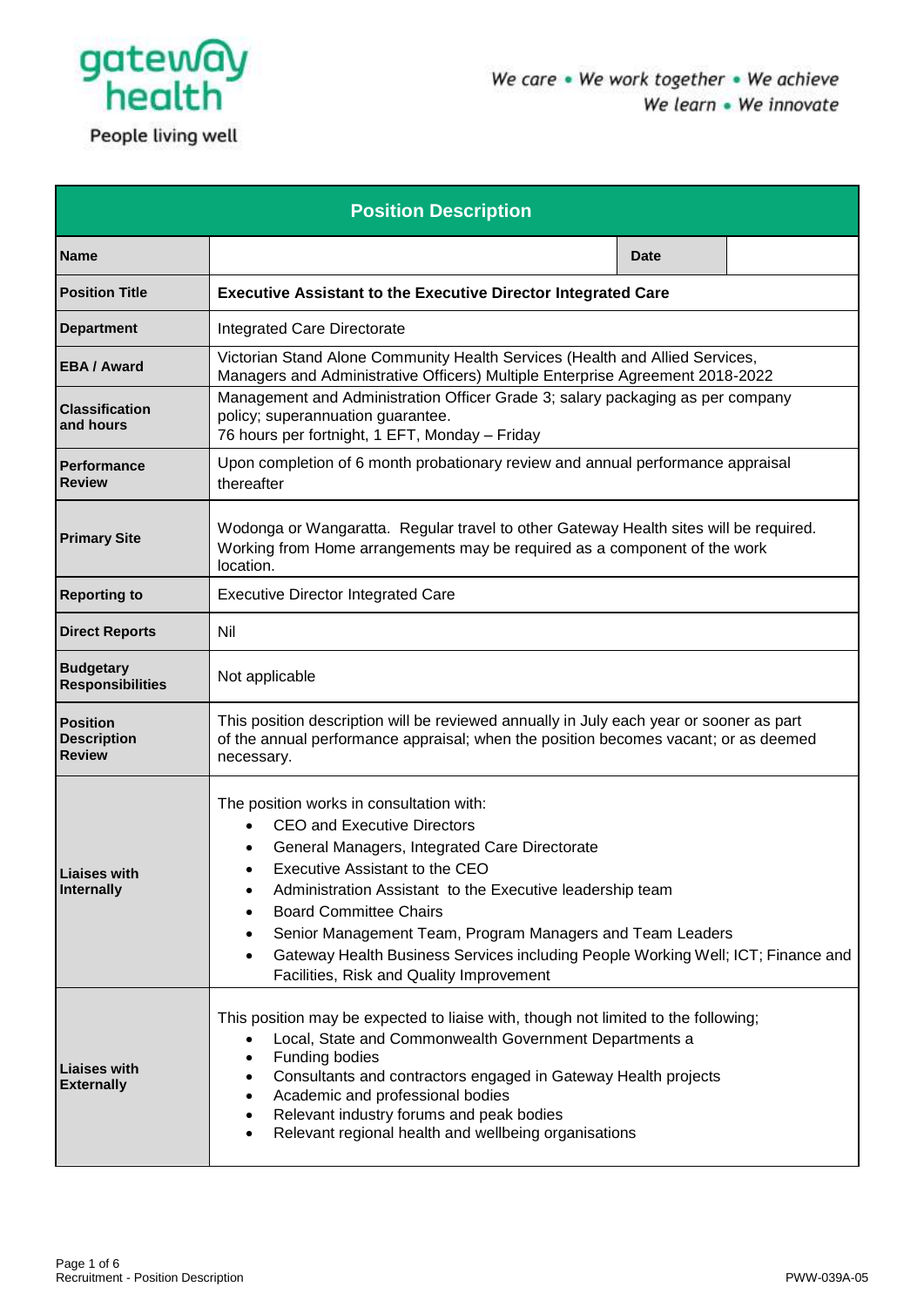

People living well

| <b>Position Description</b>                 |                                                                                                                                                                                                                                                                                                                                                                                                                                                                                        |             |  |  |  |
|---------------------------------------------|----------------------------------------------------------------------------------------------------------------------------------------------------------------------------------------------------------------------------------------------------------------------------------------------------------------------------------------------------------------------------------------------------------------------------------------------------------------------------------------|-------------|--|--|--|
| <b>Name</b>                                 |                                                                                                                                                                                                                                                                                                                                                                                                                                                                                        | <b>Date</b> |  |  |  |
| <b>Position Title</b>                       | <b>Executive Assistant to the Executive Director Integrated Care</b>                                                                                                                                                                                                                                                                                                                                                                                                                   |             |  |  |  |
| <b>Department</b>                           | Integrated Care Directorate                                                                                                                                                                                                                                                                                                                                                                                                                                                            |             |  |  |  |
| <b>EBA / Award</b>                          | Victorian Stand Alone Community Health Services (Health and Allied Services,<br>Managers and Administrative Officers) Multiple Enterprise Agreement 2018-2022                                                                                                                                                                                                                                                                                                                          |             |  |  |  |
| <b>Classification</b><br>and hours          | Management and Administration Officer Grade 3; salary packaging as per company<br>policy; superannuation guarantee.<br>76 hours per fortnight, 1 EFT, Monday - Friday                                                                                                                                                                                                                                                                                                                  |             |  |  |  |
| <b>Performance</b><br><b>Review</b>         | Upon completion of 6 month probationary review and annual performance appraisal<br>thereafter                                                                                                                                                                                                                                                                                                                                                                                          |             |  |  |  |
| <b>Primary Site</b>                         | Wodonga or Wangaratta. Regular travel to other Gateway Health sites will be required.<br>Working from Home arrangements may be required as a component of the work<br>location.                                                                                                                                                                                                                                                                                                        |             |  |  |  |
| <b>Reporting to</b>                         | <b>Executive Director Integrated Care</b>                                                                                                                                                                                                                                                                                                                                                                                                                                              |             |  |  |  |
| <b>Direct Reports</b>                       | Nil                                                                                                                                                                                                                                                                                                                                                                                                                                                                                    |             |  |  |  |
| <b>Budgetary</b><br><b>Responsibilities</b> | Not applicable                                                                                                                                                                                                                                                                                                                                                                                                                                                                         |             |  |  |  |
| Position<br><b>Description</b><br>Review    | This position description will be reviewed annually in July each year or sooner as part<br>of the annual performance appraisal; when the position becomes vacant; or as deemed<br>necessary.                                                                                                                                                                                                                                                                                           |             |  |  |  |
| Liaises with<br><b>Internally</b>           | The position works in consultation with:<br><b>CEO and Executive Directors</b><br>$\bullet$<br>General Managers, Integrated Care Directorate<br>Executive Assistant to the CEO<br>Administration Assistant to the Executive leadership team<br><b>Board Committee Chairs</b><br>Senior Management Team, Program Managers and Team Leaders<br>Gateway Health Business Services including People Working Well; ICT; Finance and<br>$\bullet$<br>Facilities, Risk and Quality Improvement |             |  |  |  |
| <b>Liaises with</b><br><b>Externally</b>    | This position may be expected to liaise with, though not limited to the following;<br>Local, State and Commonwealth Government Departments a<br>٠<br>Funding bodies<br>Consultants and contractors engaged in Gateway Health projects<br>Academic and professional bodies<br>Relevant industry forums and peak bodies<br>Relevant regional health and wellbeing organisations<br>$\bullet$                                                                                             |             |  |  |  |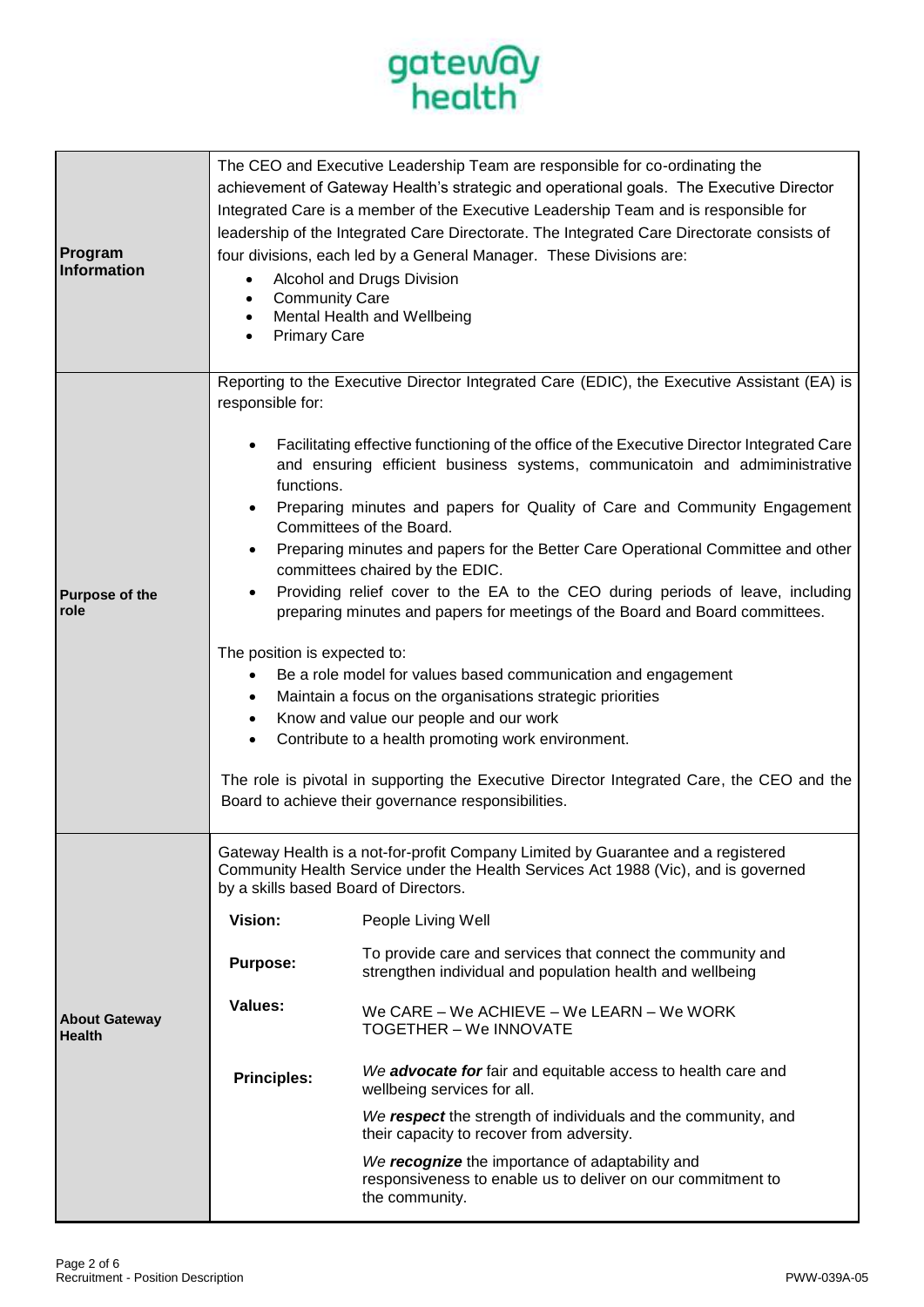

| Program<br><b>Information</b>         | The CEO and Executive Leadership Team are responsible for co-ordinating the<br>achievement of Gateway Health's strategic and operational goals. The Executive Director<br>Integrated Care is a member of the Executive Leadership Team and is responsible for<br>leadership of the Integrated Care Directorate. The Integrated Care Directorate consists of<br>four divisions, each led by a General Manager. These Divisions are:<br>Alcohol and Drugs Division<br><b>Community Care</b><br>Mental Health and Wellbeing<br><b>Primary Care</b>                                                                                                                                                                                                                                                                                                                                                                                                                                                                                                                                                                                                                             |                                                                                                                                                                                                                                                                                                                                                                                                                                                                                                                                                                                                                                                                                                                                                         |
|---------------------------------------|-----------------------------------------------------------------------------------------------------------------------------------------------------------------------------------------------------------------------------------------------------------------------------------------------------------------------------------------------------------------------------------------------------------------------------------------------------------------------------------------------------------------------------------------------------------------------------------------------------------------------------------------------------------------------------------------------------------------------------------------------------------------------------------------------------------------------------------------------------------------------------------------------------------------------------------------------------------------------------------------------------------------------------------------------------------------------------------------------------------------------------------------------------------------------------|---------------------------------------------------------------------------------------------------------------------------------------------------------------------------------------------------------------------------------------------------------------------------------------------------------------------------------------------------------------------------------------------------------------------------------------------------------------------------------------------------------------------------------------------------------------------------------------------------------------------------------------------------------------------------------------------------------------------------------------------------------|
| <b>Purpose of the</b><br>role         | Reporting to the Executive Director Integrated Care (EDIC), the Executive Assistant (EA) is<br>responsible for:<br>Facilitating effective functioning of the office of the Executive Director Integrated Care<br>and ensuring efficient business systems, communicatoin and admiministrative<br>functions.<br>Preparing minutes and papers for Quality of Care and Community Engagement<br>Committees of the Board.<br>Preparing minutes and papers for the Better Care Operational Committee and other<br>٠<br>committees chaired by the EDIC.<br>Providing relief cover to the EA to the CEO during periods of leave, including<br>preparing minutes and papers for meetings of the Board and Board committees.<br>The position is expected to:<br>Be a role model for values based communication and engagement<br>$\bullet$<br>Maintain a focus on the organisations strategic priorities<br>Know and value our people and our work<br>$\bullet$<br>Contribute to a health promoting work environment.<br>$\bullet$<br>The role is pivotal in supporting the Executive Director Integrated Care, the CEO and the<br>Board to achieve their governance responsibilities. |                                                                                                                                                                                                                                                                                                                                                                                                                                                                                                                                                                                                                                                                                                                                                         |
| <b>About Gateway</b><br><b>Health</b> | by a skills based Board of Directors.<br>Vision:<br><b>Purpose:</b><br><b>Values:</b><br><b>Principles:</b>                                                                                                                                                                                                                                                                                                                                                                                                                                                                                                                                                                                                                                                                                                                                                                                                                                                                                                                                                                                                                                                                 | Gateway Health is a not-for-profit Company Limited by Guarantee and a registered<br>Community Health Service under the Health Services Act 1988 (Vic), and is governed<br>People Living Well<br>To provide care and services that connect the community and<br>strengthen individual and population health and wellbeing<br>We CARE - We ACHIEVE - We LEARN - We WORK<br><b>TOGETHER - We INNOVATE</b><br>We advocate for fair and equitable access to health care and<br>wellbeing services for all.<br>We respect the strength of individuals and the community, and<br>their capacity to recover from adversity.<br>We recognize the importance of adaptability and<br>responsiveness to enable us to deliver on our commitment to<br>the community. |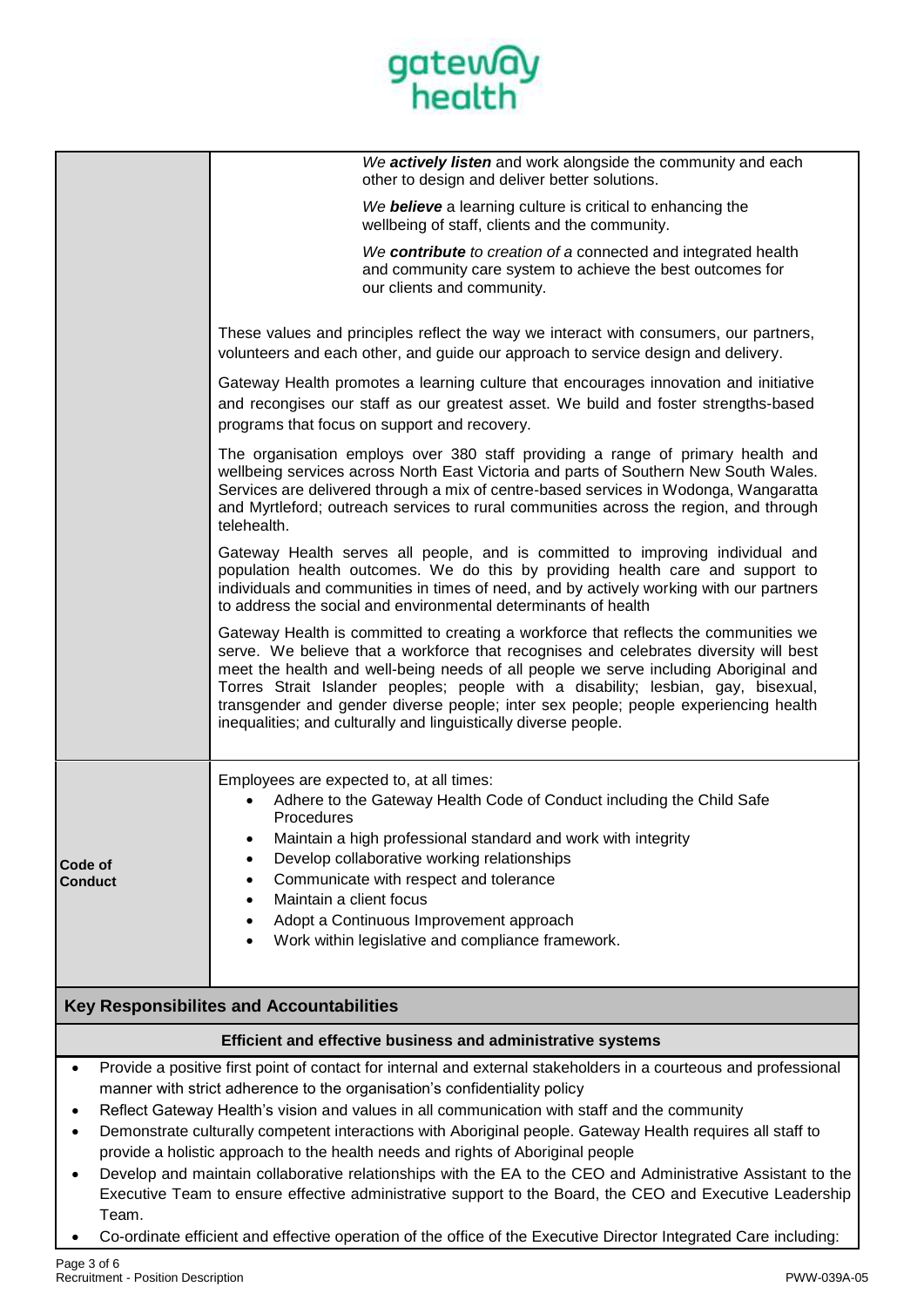

|                                                                                                                                                                                               | We actively listen and work alongside the community and each<br>other to design and deliver better solutions.                                                                                                                                                                                                                                                                                                                                                                                                        |  |  |
|-----------------------------------------------------------------------------------------------------------------------------------------------------------------------------------------------|----------------------------------------------------------------------------------------------------------------------------------------------------------------------------------------------------------------------------------------------------------------------------------------------------------------------------------------------------------------------------------------------------------------------------------------------------------------------------------------------------------------------|--|--|
|                                                                                                                                                                                               | We believe a learning culture is critical to enhancing the<br>wellbeing of staff, clients and the community.                                                                                                                                                                                                                                                                                                                                                                                                         |  |  |
|                                                                                                                                                                                               | We contribute to creation of a connected and integrated health<br>and community care system to achieve the best outcomes for<br>our clients and community.                                                                                                                                                                                                                                                                                                                                                           |  |  |
|                                                                                                                                                                                               | These values and principles reflect the way we interact with consumers, our partners,<br>volunteers and each other, and quide our approach to service design and delivery.                                                                                                                                                                                                                                                                                                                                           |  |  |
|                                                                                                                                                                                               | Gateway Health promotes a learning culture that encourages innovation and initiative<br>and recongises our staff as our greatest asset. We build and foster strengths-based<br>programs that focus on support and recovery.                                                                                                                                                                                                                                                                                          |  |  |
|                                                                                                                                                                                               | The organisation employs over 380 staff providing a range of primary health and<br>wellbeing services across North East Victoria and parts of Southern New South Wales.<br>Services are delivered through a mix of centre-based services in Wodonga, Wangaratta<br>and Myrtleford; outreach services to rural communities across the region, and through<br>telehealth.                                                                                                                                              |  |  |
|                                                                                                                                                                                               | Gateway Health serves all people, and is committed to improving individual and<br>population health outcomes. We do this by providing health care and support to<br>individuals and communities in times of need, and by actively working with our partners<br>to address the social and environmental determinants of health                                                                                                                                                                                        |  |  |
|                                                                                                                                                                                               | Gateway Health is committed to creating a workforce that reflects the communities we<br>serve. We believe that a workforce that recognises and celebrates diversity will best<br>meet the health and well-being needs of all people we serve including Aboriginal and<br>Torres Strait Islander peoples; people with a disability; lesbian, gay, bisexual,<br>transgender and gender diverse people; inter sex people; people experiencing health<br>inequalities; and culturally and linguistically diverse people. |  |  |
|                                                                                                                                                                                               | Employees are expected to, at all times:<br>Adhere to the Gateway Health Code of Conduct including the Child Safe<br>Procedures                                                                                                                                                                                                                                                                                                                                                                                      |  |  |
|                                                                                                                                                                                               | Maintain a high professional standard and work with integrity                                                                                                                                                                                                                                                                                                                                                                                                                                                        |  |  |
| Code of                                                                                                                                                                                       | Develop collaborative working relationships<br>٠                                                                                                                                                                                                                                                                                                                                                                                                                                                                     |  |  |
| <b>Conduct</b>                                                                                                                                                                                | Communicate with respect and tolerance<br>$\bullet$                                                                                                                                                                                                                                                                                                                                                                                                                                                                  |  |  |
|                                                                                                                                                                                               | Maintain a client focus<br>$\bullet$<br>Adopt a Continuous Improvement approach                                                                                                                                                                                                                                                                                                                                                                                                                                      |  |  |
|                                                                                                                                                                                               | ٠<br>Work within legislative and compliance framework.<br>٠                                                                                                                                                                                                                                                                                                                                                                                                                                                          |  |  |
| Key Responsibilites and Accountabilities                                                                                                                                                      |                                                                                                                                                                                                                                                                                                                                                                                                                                                                                                                      |  |  |
|                                                                                                                                                                                               | Efficient and effective business and administrative systems                                                                                                                                                                                                                                                                                                                                                                                                                                                          |  |  |
| $\bullet$                                                                                                                                                                                     | Provide a positive first point of contact for internal and external stakeholders in a courteous and professional                                                                                                                                                                                                                                                                                                                                                                                                     |  |  |
|                                                                                                                                                                                               | manner with strict adherence to the organisation's confidentiality policy                                                                                                                                                                                                                                                                                                                                                                                                                                            |  |  |
| Reflect Gateway Health's vision and values in all communication with staff and the community                                                                                                  |                                                                                                                                                                                                                                                                                                                                                                                                                                                                                                                      |  |  |
| Demonstrate culturally competent interactions with Aboriginal people. Gateway Health requires all staff to<br>provide a holistic approach to the health needs and rights of Aboriginal people |                                                                                                                                                                                                                                                                                                                                                                                                                                                                                                                      |  |  |
| $\bullet$                                                                                                                                                                                     | Develop and maintain collaborative relationships with the EA to the CEO and Administrative Assistant to the                                                                                                                                                                                                                                                                                                                                                                                                          |  |  |
| Executive Team to ensure effective administrative support to the Board, the CEO and Executive Leadership<br>Team.                                                                             |                                                                                                                                                                                                                                                                                                                                                                                                                                                                                                                      |  |  |

• Co-ordinate efficient and effective operation of the office of the Executive Director Integrated Care including: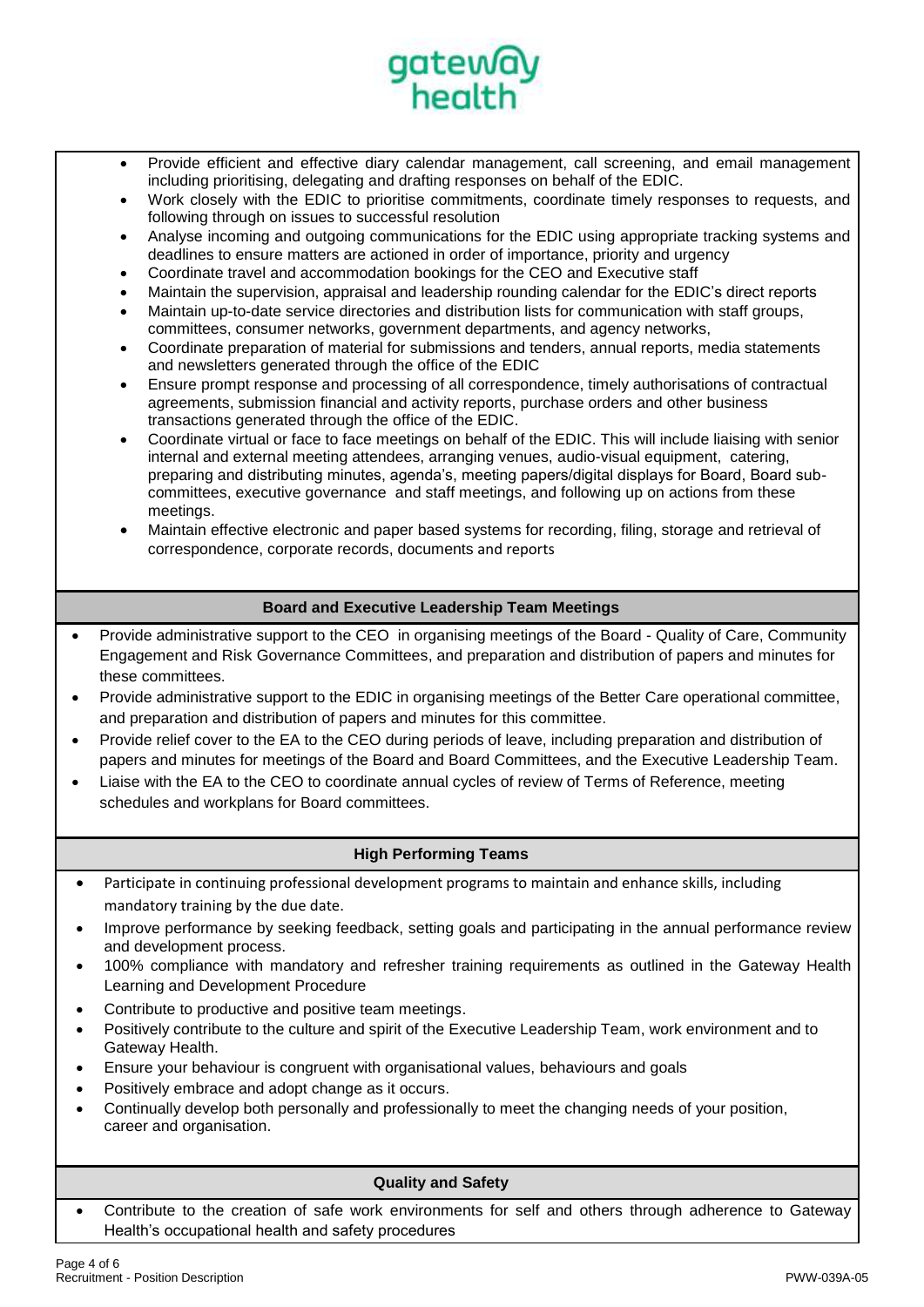

- Provide efficient and effective diary calendar management, call screening, and email management including prioritising, delegating and drafting responses on behalf of the EDIC.
- Work closely with the EDIC to prioritise commitments, coordinate timely responses to requests, and following through on issues to successful resolution
- Analyse incoming and outgoing communications for the EDIC using appropriate tracking systems and deadlines to ensure matters are actioned in order of importance, priority and urgency
- Coordinate travel and accommodation bookings for the CEO and Executive staff
- Maintain the supervision, appraisal and leadership rounding calendar for the EDIC's direct reports
- Maintain up-to-date service directories and distribution lists for communication with staff groups, committees, consumer networks, government departments, and agency networks,
- Coordinate preparation of material for submissions and tenders, annual reports, media statements and newsletters generated through the office of the EDIC
- Ensure prompt response and processing of all correspondence, timely authorisations of contractual agreements, submission financial and activity reports, purchase orders and other business transactions generated through the office of the EDIC.
- Coordinate virtual or face to face meetings on behalf of the EDIC. This will include liaising with senior internal and external meeting attendees, arranging venues, audio-visual equipment, catering, preparing and distributing minutes, agenda's, meeting papers/digital displays for Board, Board subcommittees, executive governance and staff meetings, and following up on actions from these meetings.
- Maintain effective electronic and paper based systems for recording, filing, storage and retrieval of correspondence, corporate records, documents and reports

# **Board and Executive Leadership Team Meetings**

- Provide administrative support to the CEO in organising meetings of the Board Quality of Care, Community Engagement and Risk Governance Committees, and preparation and distribution of papers and minutes for these committees.
- Provide administrative support to the EDIC in organising meetings of the Better Care operational committee, and preparation and distribution of papers and minutes for this committee.
- Provide relief cover to the EA to the CEO during periods of leave, including preparation and distribution of papers and minutes for meetings of the Board and Board Committees, and the Executive Leadership Team.
- Liaise with the EA to the CEO to coordinate annual cycles of review of Terms of Reference, meeting schedules and workplans for Board committees.

### **High Performing Teams**

- Participate in continuing professional development programs to maintain and enhance skills, including mandatory training by the due date.
- Improve performance by seeking feedback, setting goals and participating in the annual performance review and development process.
- 100% compliance with mandatory and refresher training requirements as outlined in the Gateway Health Learning and Development Procedure
- Contribute to productive and positive team meetings.
- Positively contribute to the culture and spirit of the Executive Leadership Team, work environment and to Gateway Health.
- Ensure your behaviour is congruent with organisational values, behaviours and goals
- Positively embrace and adopt change as it occurs.
- Continually develop both personally and professionally to meet the changing needs of your position, career and organisation.

### **Quality and Safety**

• Contribute to the creation of safe work environments for self and others through adherence to Gateway Health's occupational health and safety procedures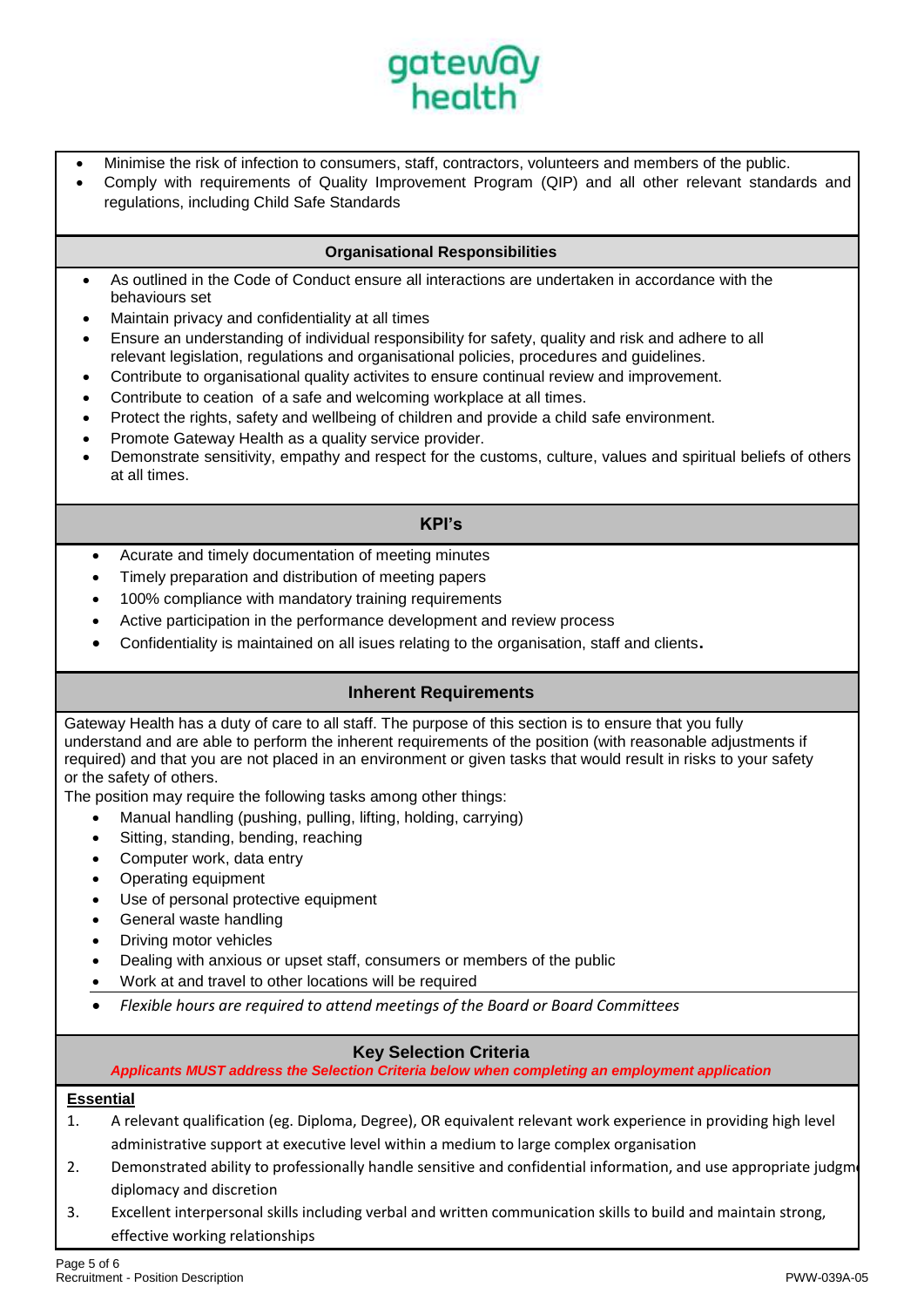

- Minimise the risk of infection to consumers, staff, contractors, volunteers and members of the public.
- Comply with requirements of Quality Improvement Program (QIP) and all other relevant standards and regulations, including Child Safe Standards

## **Organisational Responsibilities**

- As outlined in the Code of Conduct ensure all interactions are undertaken in accordance with the behaviours set
- Maintain privacy and confidentiality at all times
- Ensure an understanding of individual responsibility for safety, quality and risk and adhere to all relevant legislation, regulations and organisational policies, procedures and guidelines.
- Contribute to organisational quality activites to ensure continual review and improvement.
- Contribute to ceation of a safe and welcoming workplace at all times.
- Protect the rights, safety and wellbeing of children and provide a child safe environment.
- Promote Gateway Health as a quality service provider.
- Demonstrate sensitivity, empathy and respect for the customs, culture, values and spiritual beliefs of others at all times.

## **KPI's**

- Acurate and timely documentation of meeting minutes
- Timely preparation and distribution of meeting papers
- 100% compliance with mandatory training requirements
- Active participation in the performance development and review process
- Confidentiality is maintained on all isues relating to the organisation, staff and clients**.**

### **Inherent Requirements**

Gateway Health has a duty of care to all staff. The purpose of this section is to ensure that you fully understand and are able to perform the inherent requirements of the position (with reasonable adjustments if required) and that you are not placed in an environment or given tasks that would result in risks to your safety or the safety of others.

The position may require the following tasks among other things:

- Manual handling (pushing, pulling, lifting, holding, carrying)
- Sitting, standing, bending, reaching
- Computer work, data entry
- Operating equipment
- Use of personal protective equipment
- General waste handling
- Driving motor vehicles
- Dealing with anxious or upset staff, consumers or members of the public
- Work at and travel to other locations will be required
- *Flexible hours are required to attend meetings of the Board or Board Committees*

# **Key Selection Criteria**

*Applicants MUST address the Selection Criteria below when completing an employment application*

### **Essential**

- 1. A relevant qualification (eg. Diploma, Degree), OR equivalent relevant work experience in providing high level administrative support at executive level within a medium to large complex organisation
- 2. Demonstrated ability to professionally handle sensitive and confidential information, and use appropriate judgme diplomacy and discretion
- 3. Excellent interpersonal skills including verbal and written communication skills to build and maintain strong, effective working relationships